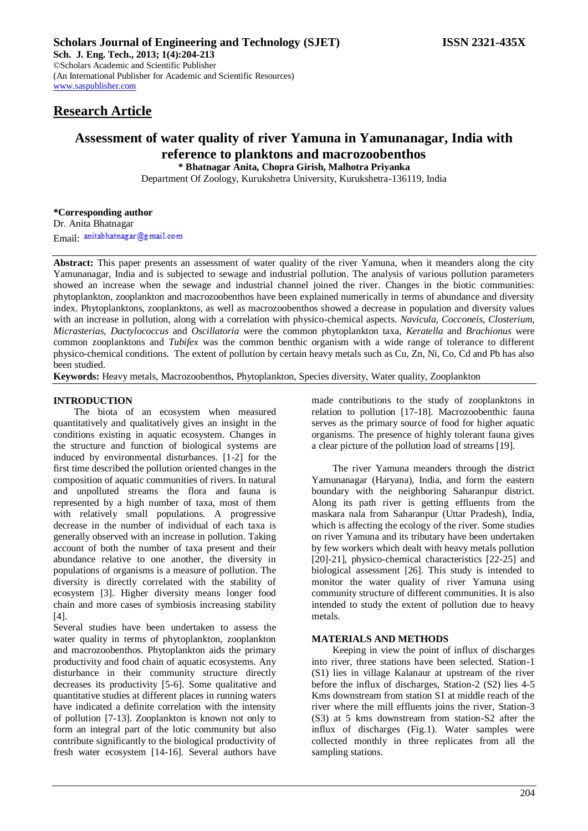## **Research Article**

# **Assessment of water quality of river Yamuna in Yamunanagar, India with reference to planktons and macrozoobenthos**

**\* Bhatnagar Anita, Chopra Girish, Malhotra Priyanka** Department Of Zoology, Kurukshetra University, Kurukshetra-136119, India

### **\*Corresponding author**

Dr. Anita Bhatnagar Email: anitabhatnagar@gmail.com

**Abstract:** This paper presents an assessment of water quality of the river Yamuna, when it meanders along the city Yamunanagar, India and is subjected to sewage and industrial pollution. The analysis of various pollution parameters showed an increase when the sewage and industrial channel joined the river. Changes in the biotic communities: phytoplankton, zooplankton and macrozoobenthos have been explained numerically in terms of abundance and diversity index. Phytoplanktons, zooplanktons, as well as macrozoobenthos showed a decrease in population and diversity values with an increase in pollution, along with a correlation with physico-chemical aspects. *Navicula, Cocconeis*, *Closterium, Micrasterias, Dactylococcus* and *Oscillatoria* were the common phytoplankton taxa, *Keratella* and *Brachionus* were common zooplanktons and *Tubifex* was the common benthic organism with a wide range of tolerance to different physico-chemical conditions. The extent of pollution by certain heavy metals such as Cu, Zn, Ni, Co, Cd and Pb has also been studied.

**Keywords:** Heavy metals, Macrozoobenthos, Phytoplankton, Species diversity, Water quality, Zooplankton

### **INTRODUCTION**

The biota of an ecosystem when measured quantitatively and qualitatively gives an insight in the conditions existing in aquatic ecosystem. Changes in the structure and function of biological systems are induced by environmental disturbances. [1-2] for the first time described the pollution oriented changes in the composition of aquatic communities of rivers. In natural and unpolluted streams the flora and fauna is represented by a high number of taxa, most of them with relatively small populations. A progressive decrease in the number of individual of each taxa is generally observed with an increase in pollution. Taking account of both the number of taxa present and their abundance relative to one another, the diversity in populations of organisms is a measure of pollution. The diversity is directly correlated with the stability of ecosystem [3]. Higher diversity means longer food chain and more cases of symbiosis increasing stability [4].

Several studies have been undertaken to assess the water quality in terms of phytoplankton, zooplankton and macrozoobenthos. Phytoplankton aids the primary productivity and food chain of aquatic ecosystems. Any disturbance in their community structure directly decreases its productivity [5-6]. Some qualitative and quantitative studies at different places in running waters have indicated a definite correlation with the intensity of pollution [7-13]. Zooplankton is known not only to form an integral part of the lotic community but also contribute significantly to the biological productivity of fresh water ecosystem [14-16]. Several authors have

made contributions to the study of zooplanktons in relation to pollution [17-18]. Macrozoobenthic fauna serves as the primary source of food for higher aquatic organisms. The presence of highly tolerant fauna gives a clear picture of the pollution load of streams [19].

The river Yamuna meanders through the district Yamunanagar (Haryana), India, and form the eastern boundary with the neighboring Saharanpur district. Along its path river is getting effluents from the maskara nala from Saharanpur (Uttar Pradesh), India, which is affecting the ecology of the river. Some studies on river Yamuna and its tributary have been undertaken by few workers which dealt with heavy metals pollution [20]-21], physico-chemical characteristics [22-25] and biological assessment [26]. This study is intended to monitor the water quality of river Yamuna using community structure of different communities. It is also intended to study the extent of pollution due to heavy metals.

### **MATERIALS AND METHODS**

Keeping in view the point of influx of discharges into river, three stations have been selected. Station-1 (S1) lies in village Kalanaur at upstream of the river before the influx of discharges, Station-2 (S2) lies 4-5 Kms downstream from station S1 at middle reach of the river where the mill effluents joins the river, Station-3 (S3) at 5 kms downstream from station-S2 after the influx of discharges (Fig.1). Water samples were collected monthly in three replicates from all the sampling stations.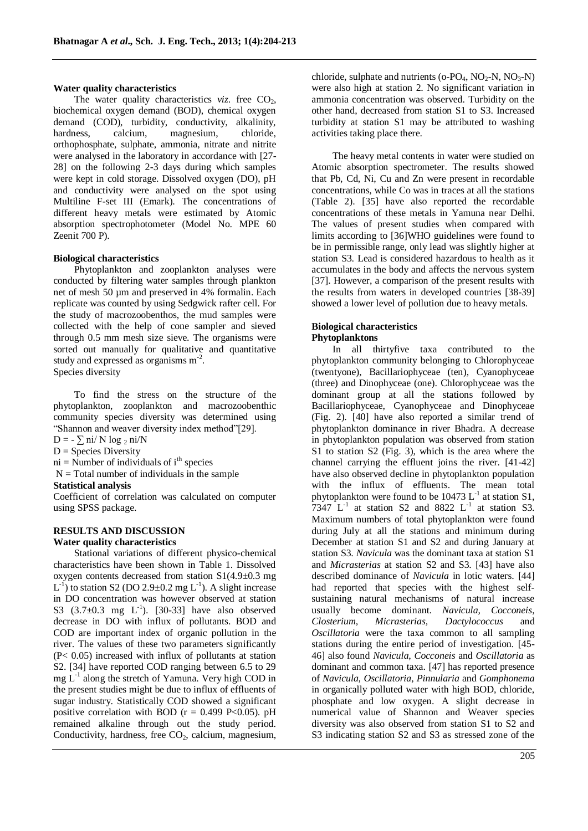### **Water quality characteristics**

The water quality characteristics  $viz$ . free  $CO<sub>2</sub>$ , biochemical oxygen demand (BOD), chemical oxygen demand (COD), turbidity, conductivity, alkalinity, hardness, calcium, magnesium, chloride, orthophosphate, sulphate, ammonia, nitrate and nitrite were analysed in the laboratory in accordance with [27- 28] on the following 2-3 days during which samples were kept in cold storage. Dissolved oxygen (DO), pH and conductivity were analysed on the spot using Multiline F-set III (Emark). The concentrations of different heavy metals were estimated by Atomic absorption spectrophotometer (Model No. MPE 60 Zeenit 700 P).

### **Biological characteristics**

Phytoplankton and zooplankton analyses were conducted by filtering water samples through plankton net of mesh 50 µm and preserved in 4% formalin. Each replicate was counted by using Sedgwick rafter cell. For the study of macrozoobenthos, the mud samples were collected with the help of cone sampler and sieved through 0.5 mm mesh size sieve. The organisms were sorted out manually for qualitative and quantitative study and expressed as organisms m*-*<sup>2</sup> . Species diversity

To find the stress on the structure of the phytoplankton, zooplankton and macrozoobenthic community species diversity was determined using "Shannon and weaver diversity index method"[29].

 $D = -\sum \text{ni} / N \log_2 \text{ni} / N$ 

 $D =$  Species Diversity

 $ni =$  Number of individuals of  $i<sup>th</sup>$  species

 $N = Total number of individuals in the sample$ 

### **Statistical analysis**

Coefficient of correlation was calculated on computer using SPSS package.

# **RESULTS AND DISCUSSION**

### **Water quality characteristics**

Stational variations of different physico-chemical characteristics have been shown in Table 1. Dissolved oxygen contents decreased from station S1(4.9±0.3 mg  $L^{-1}$ ) to station S2 (DO 2.9 $\pm$ 0.2 mg  $L^{-1}$ ). A slight increase in DO concentration was however observed at station S3  $(3.7\pm0.3 \text{ mg } L^{-1})$ . [30-33] have also observed decrease in DO with influx of pollutants. BOD and COD are important index of organic pollution in the river. The values of these two parameters significantly (P< 0.05) increased with influx of pollutants at station S2. [34] have reported COD ranging between 6.5 to 29 mg L-1 along the stretch of Yamuna. Very high COD in the present studies might be due to influx of effluents of sugar industry. Statistically COD showed a significant positive correlation with BOD ( $r = 0.499$  P<0.05). pH remained alkaline through out the study period. Conductivity, hardness, free  $CO<sub>2</sub>$ , calcium, magnesium,

chloride, sulphate and nutrients (o-PO<sub>4</sub>, NO<sub>2</sub>-N, NO<sub>3</sub>-N) were also high at station 2. No significant variation in ammonia concentration was observed. Turbidity on the other hand, decreased from station S1 to S3. Increased turbidity at station S1 may be attributed to washing activities taking place there.

The heavy metal contents in water were studied on Atomic absorption spectrometer. The results showed that Pb, Cd, Ni, Cu and Zn were present in recordable concentrations, while Co was in traces at all the stations (Table 2). [35] have also reported the recordable concentrations of these metals in Yamuna near Delhi. The values of present studies when compared with limits according to [36]WHO guidelines were found to be in permissible range, only lead was slightly higher at station S3. Lead is considered hazardous to health as it accumulates in the body and affects the nervous system [37]. However, a comparison of the present results with the results from waters in developed countries [38-39] showed a lower level of pollution due to heavy metals.

### **Biological characteristics Phytoplanktons**

In all thirtyfive taxa contributed to the phytoplankton community belonging to Chlorophyceae (twentyone), Bacillariophyceae (ten), Cyanophyceae (three) and Dinophyceae (one). Chlorophyceae was the dominant group at all the stations followed by Bacillariophyceae, Cyanophyceae and Dinophyceae (Fig. 2). [40] have also reported a similar trend of phytoplankton dominance in river Bhadra. A decrease in phytoplankton population was observed from station S1 to station S2 (Fig. 3), which is the area where the channel carrying the effluent joins the river. [41-42] have also observed decline in phytoplankton population with the influx of effluents. The mean total phytoplankton were found to be  $10473 \mathrm{L}^{-1}$  at station S1, 7347  $L^{-1}$  at station S2 and 8822  $L^{-1}$  at station S3. Maximum numbers of total phytoplankton were found during July at all the stations and minimum during December at station S1 and S2 and during January at station S3. *Navicula* was the dominant taxa at station S1 and *Micrasterias* at station S2 and S3. [43] have also described dominance of *Navicula* in lotic waters. [44] had reported that species with the highest selfsustaining natural mechanisms of natural increase usually become dominant. *Navicula, Cocconeis*, *Closterium, Micrasterias, Dactylococcus* and *Oscillatoria* were the taxa common to all sampling stations during the entire period of investigation. [45- 46] also found *Navicula*, *Cocconeis* and *Oscillatoria* as dominant and common taxa. [47] has reported presence of *Navicula, Oscillatoria, Pinnularia* and *Gomphonema* in organically polluted water with high BOD, chloride, phosphate and low oxygen. A slight decrease in numerical value of Shannon and Weaver species diversity was also observed from station S1 to S2 and S3 indicating station S2 and S3 as stressed zone of the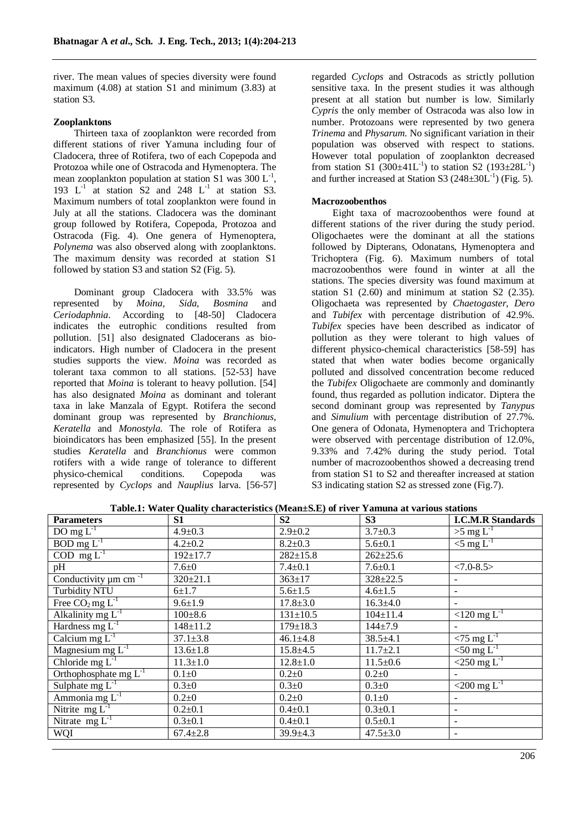river. The mean values of species diversity were found maximum (4.08) at station S1 and minimum (3.83) at station S3.

### **Zooplanktons**

Thirteen taxa of zooplankton were recorded from different stations of river Yamuna including four of Cladocera, three of Rotifera, two of each Copepoda and Protozoa while one of Ostracoda and Hymenoptera. The mean zooplankton population at station S1 was  $300 \mathrm{L}^{-1}$ , 193  $L^{-1}$  at station S2 and 248  $L^{-1}$  at station S3. Maximum numbers of total zooplankton were found in July at all the stations. Cladocera was the dominant group followed by Rotifera, Copepoda, Protozoa and Ostracoda (Fig. 4). One genera of Hymenoptera, *Polynema* was also observed along with zooplanktons. The maximum density was recorded at station S1 followed by station S3 and station S2 (Fig. 5).

Dominant group Cladocera with 33.5% was represented by *Moina, Sida, Bosmina* and *Ceriodaphnia*. According to [48-50] Cladocera indicates the eutrophic conditions resulted from pollution. [51] also designated Cladocerans as bioindicators. High number of Cladocera in the present studies supports the view. *Moina* was recorded as tolerant taxa common to all stations. [52-53] have reported that *Moina* is tolerant to heavy pollution. [54] has also designated *Moina* as dominant and tolerant taxa in lake Manzala of Egypt. Rotifera the second dominant group was represented by *Branchionus, Keratella* and *Monostyla*. The role of Rotifera as bioindicators has been emphasized [55]. In the present studies *Keratella* and *Branchionus* were common rotifers with a wide range of tolerance to different physico-chemical conditions. Copepoda was represented by *Cyclops* and *Nauplius* larva. [56-57]

regarded *Cyclops* and Ostracods as strictly pollution sensitive taxa. In the present studies it was although present at all station but number is low. Similarly *Cypris* the only member of Ostracoda was also low in number. Protozoans were represented by two genera *Trinema* and *Physarum*. No significant variation in their population was observed with respect to stations. However total population of zooplankton decreased from station S1  $(300\pm41L^{-1})$  to station S2  $(193\pm28L^{-1})$ and further increased at Station S3  $(248 \pm 30L^{-1})$  (Fig. 5).

### **Macrozoobenthos**

Eight taxa of macrozoobenthos were found at different stations of the river during the study period. Oligochaetes were the dominant at all the stations followed by Dipterans, Odonatans, Hymenoptera and Trichoptera (Fig. 6). Maximum numbers of total macrozoobenthos were found in winter at all the stations. The species diversity was found maximum at station S1 (2.60) and minimum at station S2 (2.35). Oligochaeta was represented by *Chaetogaster, Dero* and *Tubifex* with percentage distribution of 42.9%. *Tubifex* species have been described as indicator of pollution as they were tolerant to high values of different physico-chemical characteristics [58-59] has stated that when water bodies become organically polluted and dissolved concentration become reduced the *Tubifex* Oligochaete are commonly and dominantly found, thus regarded as pollution indicator. Diptera the second dominant group was represented by *Tanypus* and *Simulium* with percentage distribution of 27.7%. One genera of Odonata, Hymenoptera and Trichoptera were observed with percentage distribution of 12.0%, 9.33% and 7.42% during the study period. Total number of macrozoobenthos showed a decreasing trend from station S1 to S2 and thereafter increased at station S3 indicating station S2 as stressed zone (Fig.7).

| <b>Parameters</b>                     | S1             | S <sub>2</sub> | S <sub>3</sub> | <b>I.C.M.R Standards</b>        |
|---------------------------------------|----------------|----------------|----------------|---------------------------------|
| DO mg $L^{-1}$                        | $4.9 \pm 0.3$  | $2.9 \pm 0.2$  | $3.7 \pm 0.3$  | $>5$ mg L <sup>-1</sup>         |
| $BOD$ mg $L^{-1}$                     | $4.2 \pm 0.2$  | $8.2 \pm 0.3$  | $5.6 \pm 0.1$  | $\leq$ mg L <sup>-1</sup>       |
| $\overline{COD}$ mg $L^{-1}$          | $192 \pm 17.7$ | $282 \pm 15.8$ | $262 \pm 25.6$ |                                 |
| pH                                    | $7.6 \pm 0$    | $7.4 \pm 0.1$  | $7.6 \pm 0.1$  | $<7.0 - 8.5$                    |
| Conductivity $\mu$ m cm <sup>-1</sup> | $320 \pm 21.1$ | $363 \pm 17$   | $328 \pm 22.5$ |                                 |
| <b>Turbidity NTU</b>                  | $6 + 1.7$      | $5.6 \pm 1.5$  | $4.6 \pm 1.5$  |                                 |
| Free $CO_2$ mg $L^{-1}$               | $9.6 \pm 1.9$  | $17.8 \pm 3.0$ | $16.3 \pm 4.0$ |                                 |
| Alkalinity mg $L^{-1}$                | $100 \pm 8.6$  | $131 \pm 10.5$ | $104 \pm 11.4$ | $120 \text{ mg } L^{-1}$        |
| Hardness mg $L^{-1}$                  | $148 \pm 11.2$ | $179 \pm 18.3$ | $144 + 7.9$    |                                 |
| Calcium mg $L^{-1}$                   | $37.1 \pm 3.8$ | $46.1 \pm 4.8$ | $38.5 \pm 4.1$ | $<$ 75 mg L <sup>-1</sup>       |
| Magnesium mg $L^{-1}$                 | $13.6 \pm 1.8$ | $15.8 \pm 4.5$ | $11.7 \pm 2.1$ | $\overline{50 \text{ mg } L^1}$ |
| Chloride mg $L^{-1}$                  | $11.3 \pm 1.0$ | $12.8 \pm 1.0$ | $11.5 \pm 0.6$ | $\sim$ 250 mg L <sup>-1</sup>   |
| Orthophosphate mg $L^{-1}$            | $0.1 + 0$      | $0.2 \pm 0$    | $0.2 \pm 0$    |                                 |
| Sulphate mg $L^{-1}$                  | $0.3 \pm 0$    | $0.3 \pm 0$    | $0.3 \pm 0$    | $<$ 200 mg L <sup>-1</sup>      |
| Ammonia mg $L^{-1}$                   | $0.2 \pm 0$    | $0.2 \pm 0$    | $0.1\pm0$      |                                 |
| Nitrite $mg L^{-1}$                   | $0.2{\pm}0.1$  | $0.4 \pm 0.1$  | $0.3 \pm 0.1$  | $\overline{\phantom{a}}$        |
| Nitrate $mg L^{-1}$                   | $0.3 \pm 0.1$  | $0.4 \pm 0.1$  | $0.5 \pm 0.1$  | $\overline{\phantom{a}}$        |
| WQI                                   | $67.4 \pm 2.8$ | $39.9 \pm 4.3$ | $47.5 \pm 3.0$ | $\overline{\phantom{a}}$        |

**Table.1: Water Quality characteristics (Mean±S.E) of river Yamuna at various stations**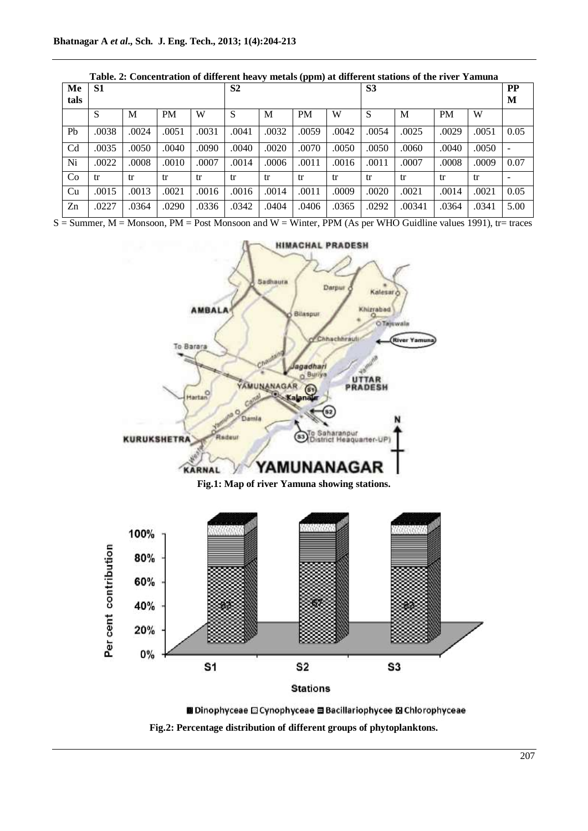|                | Table. 2. Concentration of unferent neavy inetals (ppm) at unferent stations of the fiver Tamuna |       |           |                |       |       |                |       |       |           |           |       |      |
|----------------|--------------------------------------------------------------------------------------------------|-------|-----------|----------------|-------|-------|----------------|-------|-------|-----------|-----------|-------|------|
| Me             | S1                                                                                               |       |           | S <sub>2</sub> |       |       | S <sub>3</sub> |       |       | <b>PP</b> |           |       |      |
| tals           |                                                                                                  |       |           |                |       |       |                |       |       |           |           |       | M    |
|                | S                                                                                                | M     | <b>PM</b> | W              | S     | M     | <b>PM</b>      | W     | S     | M         | <b>PM</b> | W     |      |
| Pb             | .0038                                                                                            | .0024 | .0051     | .0031          | .0041 | .0032 | .0059          | .0042 | .0054 | .0025     | .0029     | .0051 | 0.05 |
| C <sub>d</sub> | .0035                                                                                            | .0050 | .0040     | .0090          | .0040 | .0020 | .0070          | .0050 | .0050 | .0060     | .0040     | .0050 |      |
| Ni             | .0022                                                                                            | .0008 | .0010     | .0007          | .0014 | .0006 | .0011          | .0016 | .0011 | .0007     | .0008     | .0009 | 0.07 |
| Co             | tr                                                                                               | tr    | tr        | tr             | tr    | tr    | tr             | tr    | tr    | tr        | tr        | tr    |      |
| Cu             | .0015                                                                                            | .0013 | .0021     | .0016          | .0016 | .0014 | .0011          | .0009 | .0020 | .0021     | .0014     | .0021 | 0.05 |
| Z <sub>n</sub> | .0227                                                                                            | .0364 | .0290     | .0336          | .0342 | .0404 | .0406          | .0365 | .0292 | .00341    | .0364     | .0341 | 5.00 |

| Table. 2: Concentration of different heavy metals (ppm) at different stations of the river Yamuna |  |
|---------------------------------------------------------------------------------------------------|--|
|---------------------------------------------------------------------------------------------------|--|

 $S =$  Summer,  $M =$  Monsoon,  $PM =$  Post Monsoon and  $W =$  Winter, PPM (As per WHO Guidline values 1991), tr= traces





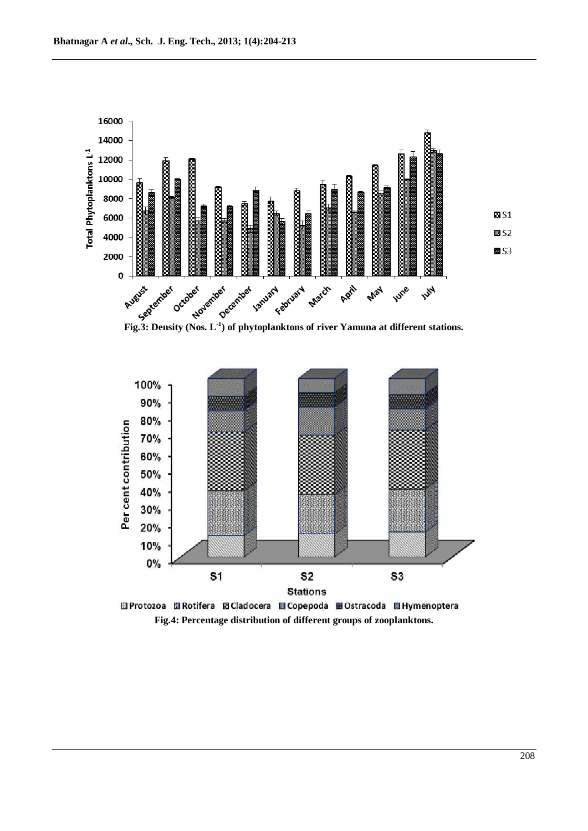

**Fig.3: Density (Nos. L***-***<sup>1</sup> ) of phytoplanktons of river Yamuna at different stations.**



**Fig.4: Percentage distribution of different groups of zooplanktons.**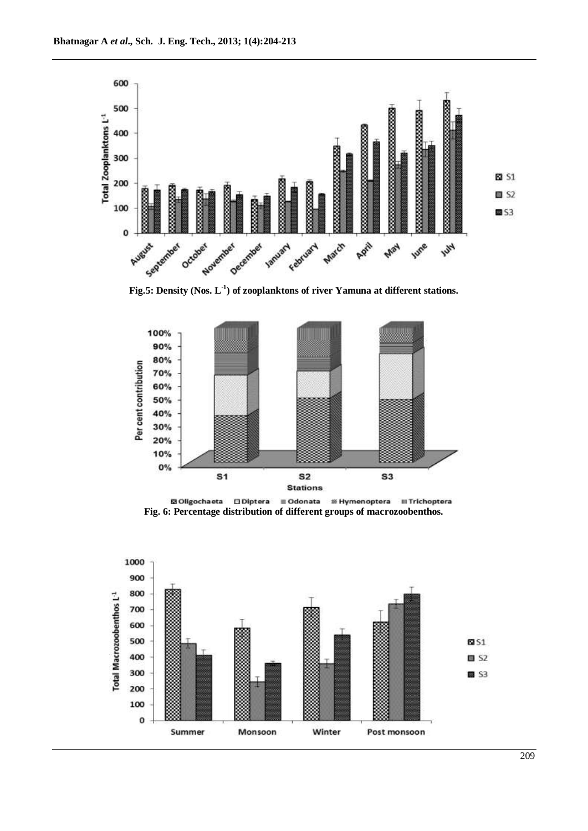

**Fig.5: Density (Nos. L***-***<sup>1</sup> ) of zooplanktons of river Yamuna at different stations.**



**Fig. 6: Percentage distribution of different groups of macrozoobenthos.**

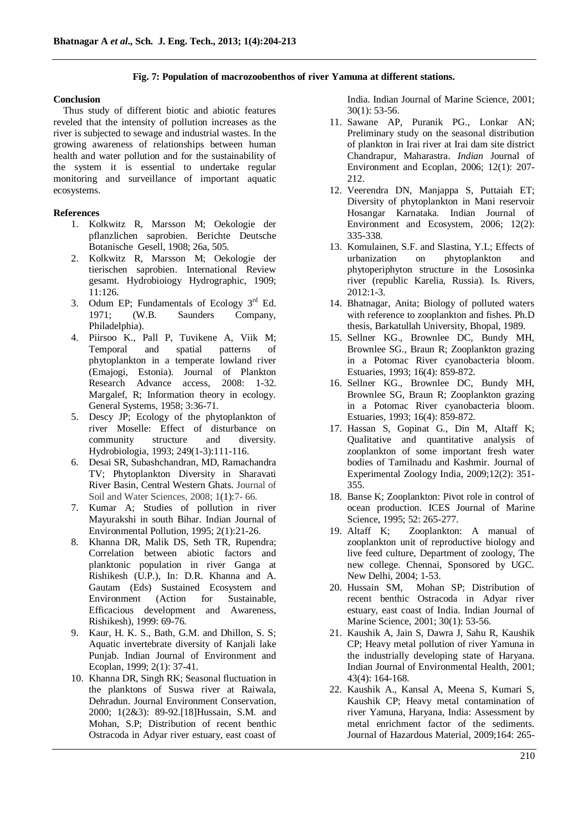### **Fig. 7: Population of macrozoobenthos of river Yamuna at different stations.**

#### **Conclusion**

Thus study of different biotic and abiotic features reveled that the intensity of pollution increases as the river is subjected to sewage and industrial wastes. In the growing awareness of relationships between human health and water pollution and for the sustainability of the system it is essential to undertake regular monitoring and surveillance of important aquatic ecosystems.

### **References**

- 1. Kolkwitz R, Marsson M; Oekologie der pflanzlichen saprobien. Berichte Deutsche Botanische Gesell, 1908; 26a, 505.
- 2. Kolkwitz R, Marsson M; Oekologie der tierischen saprobien. International Review gesamt. Hydrobioiogy Hydrographic, 1909; 11:126.
- 3. Odum EP; Fundamentals of Ecology  $3<sup>rd</sup>$  Ed. 1971; (W.B. Saunders Company, Philadelphia).
- 4. Piirsoo K., Pall P, Tuvikene A, Viik M; Temporal and spatial patterns of phytoplankton in a temperate lowland river (Emajogi, Estonia). Journal of Plankton Research Advance access, 2008: 1-32. Margalef, R; Information theory in ecology. General Systems, 1958; 3:36-71.
- 5. Descy JP; Ecology of the phytoplankton of river Moselle: Effect of disturbance on community structure and diversity. Hydrobiologia, 1993; 249(1-3):111-116.
- 6. Desai SR, Subashchandran, MD, Ramachandra TV; Phytoplankton Diversity in Sharavati River Basin, Central Western Ghats. Journal of Soil and Water Sciences, 2008; 1(1):7- 66.
- 7. Kumar A; Studies of pollution in river Mayurakshi in south Bihar. Indian Journal of Environmental Pollution, 1995; 2(1):21-26.
- 8. Khanna DR, Malik DS, Seth TR, Rupendra; Correlation between abiotic factors and planktonic population in river Ganga at Rishikesh (U.P.), In: D.R. Khanna and A. Gautam (Eds) Sustained Ecosystem and Environment (Action for Sustainable, Efficacious development and Awareness, Rishikesh), 1999: 69-76.
- 9. Kaur, H. K. S., Bath, G.M. and Dhillon, S. S; Aquatic invertebrate diversity of Kanjali lake Punjab. Indian Journal of Environment and Ecoplan, 1999; 2(1): 37-41.
- 10. Khanna DR, Singh RK; Seasonal fluctuation in the planktons of Suswa river at Raiwala, Dehradun. Journal Environment Conservation, 2000; 1(2&3): 89-92.[18]Hussain, S.M. and Mohan, S.P; Distribution of recent benthic Ostracoda in Adyar river estuary, east coast of

India. Indian Journal of Marine Science, 2001; 30(1): 53-56.

- 11. Sawane AP, Puranik PG., Lonkar AN; Preliminary study on the seasonal distribution of plankton in Irai river at Irai dam site district Chandrapur, Maharastra. *Indian* Journal of Environment and Ecoplan, 2006; 12(1): 207- 212.
- 12. Veerendra DN, Manjappa S, Puttaiah ET; Diversity of phytoplankton in Mani reservoir Hosangar Karnataka. Indian Journal of Environment and Ecosystem, 2006; 12(2): 335-338.
- 13. Komulainen, S.F. and Slastina, Y.L; Effects of urbanization on phytoplankton and phytoperiphyton structure in the Lososinka river (republic Karelia, Russia). Is. Rivers, 2012:1-3.
- 14. Bhatnagar, Anita; Biology of polluted waters with reference to zooplankton and fishes. Ph.D thesis, Barkatullah University, Bhopal, 1989.
- 15. Sellner KG., Brownlee DC, Bundy MH, Brownlee SG., Braun R; Zooplankton grazing in a Potomac River cyanobacteria bloom. Estuaries, 1993; 16(4): 859-872.
- 16. Sellner KG., Brownlee DC, Bundy MH, Brownlee SG, Braun R; Zooplankton grazing in a Potomac River cyanobacteria bloom. Estuaries, 1993; 16(4): 859-872.
- 17. Hassan S, Gopinat G., Din M, Altaff K; Qualitative and quantitative analysis of zooplankton of some important fresh water bodies of Tamilnadu and Kashmir. Journal of Experimental Zoology India, 2009;12(2): 351- 355.
- 18. Banse K; Zooplankton: Pivot role in control of ocean production. ICES Journal of Marine Science, 1995; 52: 265-277.
- 19. Altaff K; Zooplankton: A manual of zooplankton unit of reproductive biology and live feed culture*,* Department of zoology, The new college. Chennai, Sponsored by UGC. New Delhi, 2004; 1-53.
- 20. Hussain SM, Mohan SP; Distribution of recent benthic Ostracoda in Adyar river estuary, east coast of India. Indian Journal of Marine Science, 2001; 30(1): 53-56.
- 21. Kaushik A, Jain S, Dawra J, Sahu R, Kaushik CP; Heavy metal pollution of river Yamuna in the industrially developing state of Haryana. Indian Journal of Environmental Health, 2001; 43(4): 164-168.
- 22. Kaushik A., Kansal A, Meena S, Kumari S, Kaushik CP; Heavy metal contamination of river Yamuna, Haryana, India: Assessment by metal enrichment factor of the sediments. Journal of Hazardous Material, 2009;164: 265-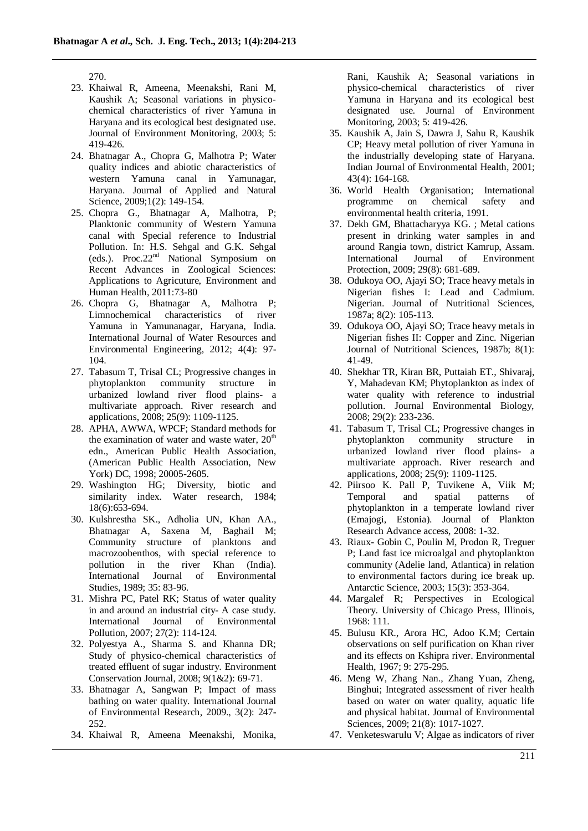270.

- 23. Khaiwal R, Ameena, Meenakshi, Rani M, Kaushik A; Seasonal variations in physicochemical characteristics of river Yamuna in Haryana and its ecological best designated use*.*  Journal of Environment Monitoring, 2003; 5: 419-426.
- 24. Bhatnagar A., Chopra G, Malhotra P; Water quality indices and abiotic characteristics of western Yamuna canal in Yamunagar, Haryana. Journal of Applied and Natural Science, 2009;1(2): 149-154.
- 25. Chopra G., Bhatnagar A, Malhotra, P; Planktonic community of Western Yamuna canal with Special reference to Industrial Pollution. In: H.S. Sehgal and G.K. Sehgal (eds.). Proc.22nd National Symposium on Recent Advances in Zoological Sciences: Applications to Agricuture, Environment and Human Health, 2011:73-80
- 26. Chopra G, Bhatnagar A, Malhotra P; Limnochemical characteristics of river Yamuna in Yamunanagar, Haryana, India*.*  International Journal of Water Resources and Environmental Engineering, 2012; 4(4): 97- 104.
- 27. Tabasum T, Trisal CL; Progressive changes in phytoplankton community structure in urbanized lowland river flood plains- a multivariate approach. River research and applications, 2008; 25(9): 1109-1125.
- 28. APHA, AWWA, WPCF; Standard methods for the examination of water and waste water,  $20<sup>th</sup>$ edn., American Public Health Association, (American Public Health Association, New York) DC, 1998; 20005-2605.
- 29. Washington HG; Diversity, biotic and similarity index. Water research, 1984; 18(6):653-694.
- 30. Kulshrestha SK., Adholia UN, Khan AA., Bhatnagar A, Saxena M, Baghail M; Community structure of planktons and macrozoobenthos, with special reference to pollution in the river Khan (India). International Journal of Environmental Studies, 1989; 35: 83-96.
- 31. Mishra PC, Patel RK; Status of water quality in and around an industrial city- A case study. International Journal of Environmental Pollution, 2007; 27(2): 114-124.
- 32. Polyestya A., Sharma S. and Khanna DR; Study of physico-chemical characteristics of treated effluent of sugar industry. Environment Conservation Journal, 2008; 9(1&2): 69-71.
- 33. Bhatnagar A, Sangwan P; Impact of mass bathing on water quality. International Journal of Environmental Research, 2009., 3(2): 247- 252.
- 34. Khaiwal R, Ameena Meenakshi, Monika,

Rani, Kaushik A; Seasonal variations in physico-chemical characteristics of river Yamuna in Haryana and its ecological best designated use*.* Journal of Environment Monitoring, 2003; 5: 419-426.

- 35. Kaushik A, Jain S, Dawra J, Sahu R, Kaushik CP; Heavy metal pollution of river Yamuna in the industrially developing state of Haryana. Indian Journal of Environmental Health, 2001; 43(4): 164-168.
- 36. World Health Organisation; International programme on chemical safety and environmental health criteria, 1991.
- 37. Dekh GM, Bhattacharyya KG. ; Metal cations present in drinking water samples in and around Rangia town, district Kamrup, Assam. International Journal of Environment Protection, 2009; 29(8): 681-689.
- 38. Odukoya OO, Ajayi SO; Trace heavy metals in Nigerian fishes I: Lead and Cadmium. Nigerian. Journal of Nutritional Sciences, 1987a; 8(2): 105-113.
- 39. Odukoya OO, Ajayi SO; Trace heavy metals in Nigerian fishes II: Copper and Zinc. Nigerian Journal of Nutritional Sciences, 1987b; 8(1): 41-49.
- 40. Shekhar TR, [Kiran BR,](http://www.ncbi.nlm.nih.gov/pubmed?term=Kiran%20BR%5BAuthor%5D&cauthor=true&cauthor_uid=18831381) [Puttaiah ET.](http://www.ncbi.nlm.nih.gov/pubmed?term=Puttaiah%20ET%5BAuthor%5D&cauthor=true&cauthor_uid=18831381), Shivaraj, Y, [Mahadevan KM;](http://www.ncbi.nlm.nih.gov/pubmed?term=Mahadevan%20KM%5BAuthor%5D&cauthor=true&cauthor_uid=18831381) Phytoplankton as index of water quality with reference to industrial pollution. Journal Environmental Biology, 2008; 29(2): 233-236.
- 41. Tabasum T, Trisal CL; Progressive changes in phytoplankton community structure in urbanized lowland river flood plains- a multivariate approach. River research and applications, 2008; 25(9): 1109-1125.
- 42. Piirsoo K. Pall P, Tuvikene A, Viik M; Temporal and spatial patterns of phytoplankton in a temperate lowland river (Emajogi, Estonia). Journal of Plankton Research Advance access, 2008: 1-32.
- 43. Riaux- Gobin C, Poulin M, Prodon R, Treguer P; Land fast ice microalgal and phytoplankton community (Adelie land, Atlantica) in relation to environmental factors during ice break up. Antarctic Science, 2003; 15(3): 353-364.
- 44. Margalef R; Perspectives in Ecological Theory. University of Chicago Press, Illinois, 1968: 111.
- 45. Bulusu KR., Arora HC, Adoo K.M; Certain observations on self purification on Khan river and its effects on Kshipra river. Environmental Health, 1967; 9: 275-295.
- 46. Meng W, Zhang Nan., Zhang Yuan, Zheng, Binghui; Integrated assessment of river health based on water on water quality, aquatic life and physical habitat. Journal of Environmental Sciences, 2009; 21(8): 1017-1027.
- 47. Venketeswarulu V; Algae as indicators of river